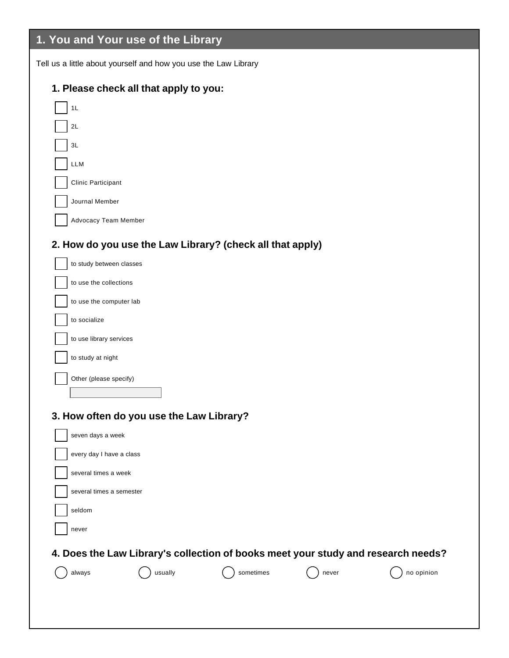# **1. You and Your use of the Library**

Tell us a little about yourself and how you use the Law Library

### **1. Please check all that apply to you:**

| 1L                                        |  |
|-------------------------------------------|--|
| 2L                                        |  |
| 3L                                        |  |
| <b>LLM</b>                                |  |
| <b>Clinic Participant</b>                 |  |
| Journal Member                            |  |
| <b>Advocacy Team Member</b>               |  |
| 2. How do you use the Law Library? (cheor |  |

#### **2. Buddo Exercise Exe**

| to study between classes |
|--------------------------|
| to use the collections   |
| to use the computer lab  |
| to socialize             |
| to use library services  |
| to study at night        |
| Other (please specify)   |
|                          |
|                          |

#### **3. How often do you use the Law Library?**

| seven days a week                                                                 |
|-----------------------------------------------------------------------------------|
| every day I have a class                                                          |
| several times a week                                                              |
| several times a semester                                                          |
| seldom                                                                            |
| never                                                                             |
| 4. Does the Law Library's collection of books meet your study and research needs? |
| usually<br>sometimes<br>no opinion<br>never<br>always                             |
|                                                                                   |
|                                                                                   |
|                                                                                   |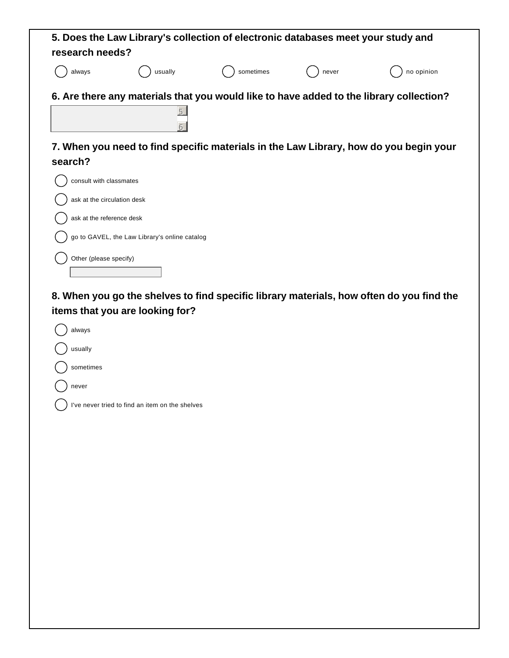| research needs?                                                                     |                                               | 5. Does the Law Library's collection of electronic databases meet your study and |       |                                                                                          |
|-------------------------------------------------------------------------------------|-----------------------------------------------|----------------------------------------------------------------------------------|-------|------------------------------------------------------------------------------------------|
| always                                                                              | usually                                       | sometimes                                                                        | never | no opinion                                                                               |
|                                                                                     | 5                                             |                                                                                  |       | 6. Are there any materials that you would like to have added to the library collection?  |
| search?                                                                             |                                               |                                                                                  |       | 7. When you need to find specific materials in the Law Library, how do you begin your    |
| consult with classmates<br>ask at the circulation desk<br>ask at the reference desk |                                               |                                                                                  |       |                                                                                          |
|                                                                                     | go to GAVEL, the Law Library's online catalog |                                                                                  |       |                                                                                          |
| Other (please specify)                                                              |                                               |                                                                                  |       |                                                                                          |
|                                                                                     | items that you are looking for?               |                                                                                  |       | 8. When you go the shelves to find specific library materials, how often do you find the |

| always                                          |
|-------------------------------------------------|
| usually                                         |
| sometimes                                       |
| never                                           |
| I've never tried to find an item on the shelves |
|                                                 |
|                                                 |
|                                                 |
|                                                 |
|                                                 |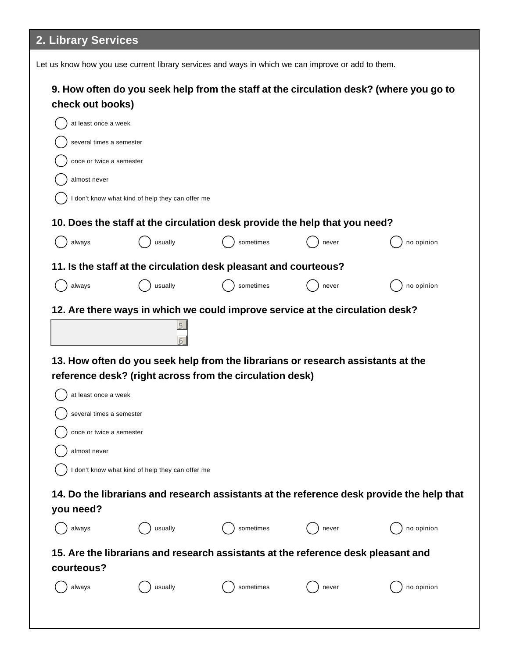# **2. Library Services**

| Let us know how you use current library services and ways in which we can improve or add to them.          |                                                  |                                                                                                                                              |       |                                                                                           |  |
|------------------------------------------------------------------------------------------------------------|--------------------------------------------------|----------------------------------------------------------------------------------------------------------------------------------------------|-------|-------------------------------------------------------------------------------------------|--|
| 9. How often do you seek help from the staff at the circulation desk? (where you go to<br>check out books) |                                                  |                                                                                                                                              |       |                                                                                           |  |
| at least once a week                                                                                       |                                                  |                                                                                                                                              |       |                                                                                           |  |
| several times a semester                                                                                   |                                                  |                                                                                                                                              |       |                                                                                           |  |
| once or twice a semester                                                                                   |                                                  |                                                                                                                                              |       |                                                                                           |  |
| almost never                                                                                               |                                                  |                                                                                                                                              |       |                                                                                           |  |
|                                                                                                            | I don't know what kind of help they can offer me |                                                                                                                                              |       |                                                                                           |  |
|                                                                                                            |                                                  | 10. Does the staff at the circulation desk provide the help that you need?                                                                   |       |                                                                                           |  |
| always                                                                                                     | usually                                          | sometimes                                                                                                                                    | never | no opinion                                                                                |  |
|                                                                                                            |                                                  | 11. Is the staff at the circulation desk pleasant and courteous?                                                                             |       |                                                                                           |  |
| always                                                                                                     | usually                                          | sometimes                                                                                                                                    | never | no opinion                                                                                |  |
| at least once a week<br>several times a semester                                                           |                                                  | 13. How often do you seek help from the librarians or research assistants at the<br>reference desk? (right across from the circulation desk) |       |                                                                                           |  |
| once or twice a semester                                                                                   |                                                  |                                                                                                                                              |       |                                                                                           |  |
| almost never                                                                                               |                                                  |                                                                                                                                              |       |                                                                                           |  |
|                                                                                                            | I don't know what kind of help they can offer me |                                                                                                                                              |       |                                                                                           |  |
| you need?                                                                                                  |                                                  |                                                                                                                                              |       | 14. Do the librarians and research assistants at the reference desk provide the help that |  |
| always                                                                                                     | usually                                          | sometimes                                                                                                                                    | never | no opinion                                                                                |  |
| 15. Are the librarians and research assistants at the reference desk pleasant and<br>courteous?            |                                                  |                                                                                                                                              |       |                                                                                           |  |
| always                                                                                                     | usually                                          | sometimes                                                                                                                                    | never | no opinion                                                                                |  |
|                                                                                                            |                                                  |                                                                                                                                              |       |                                                                                           |  |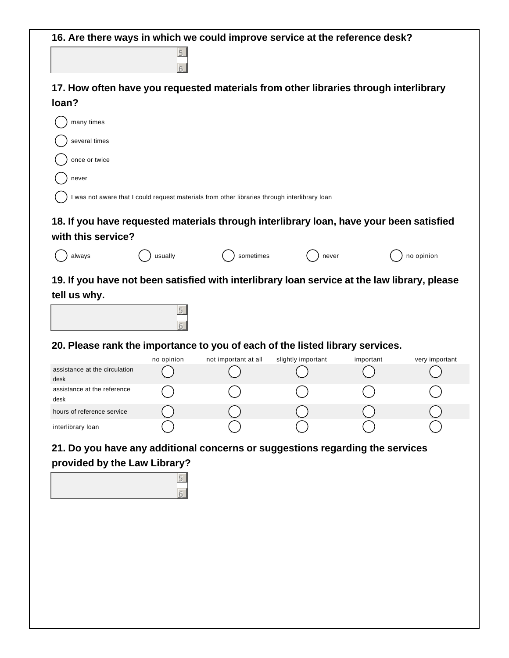| 17. How often have you requested materials from other libraries through interlibrary<br>loan?<br>many times<br>several times<br>once or twice<br>never<br>was not aware that I could request materials from other libraries through interlibrary loan<br>18. If you have requested materials through interlibrary loan, have your been satisfied<br>with this service?<br>usually<br>sometimes<br>never<br>always<br>19. If you have not been satisfied with interlibrary loan service at the law library, please<br>tell us why.<br>5 | no opinion     |  |  |  |  |
|----------------------------------------------------------------------------------------------------------------------------------------------------------------------------------------------------------------------------------------------------------------------------------------------------------------------------------------------------------------------------------------------------------------------------------------------------------------------------------------------------------------------------------------|----------------|--|--|--|--|
|                                                                                                                                                                                                                                                                                                                                                                                                                                                                                                                                        |                |  |  |  |  |
|                                                                                                                                                                                                                                                                                                                                                                                                                                                                                                                                        |                |  |  |  |  |
|                                                                                                                                                                                                                                                                                                                                                                                                                                                                                                                                        |                |  |  |  |  |
|                                                                                                                                                                                                                                                                                                                                                                                                                                                                                                                                        |                |  |  |  |  |
|                                                                                                                                                                                                                                                                                                                                                                                                                                                                                                                                        |                |  |  |  |  |
|                                                                                                                                                                                                                                                                                                                                                                                                                                                                                                                                        |                |  |  |  |  |
|                                                                                                                                                                                                                                                                                                                                                                                                                                                                                                                                        |                |  |  |  |  |
|                                                                                                                                                                                                                                                                                                                                                                                                                                                                                                                                        |                |  |  |  |  |
|                                                                                                                                                                                                                                                                                                                                                                                                                                                                                                                                        |                |  |  |  |  |
|                                                                                                                                                                                                                                                                                                                                                                                                                                                                                                                                        |                |  |  |  |  |
|                                                                                                                                                                                                                                                                                                                                                                                                                                                                                                                                        |                |  |  |  |  |
|                                                                                                                                                                                                                                                                                                                                                                                                                                                                                                                                        |                |  |  |  |  |
|                                                                                                                                                                                                                                                                                                                                                                                                                                                                                                                                        |                |  |  |  |  |
|                                                                                                                                                                                                                                                                                                                                                                                                                                                                                                                                        |                |  |  |  |  |
|                                                                                                                                                                                                                                                                                                                                                                                                                                                                                                                                        |                |  |  |  |  |
|                                                                                                                                                                                                                                                                                                                                                                                                                                                                                                                                        |                |  |  |  |  |
| 20. Please rank the importance to you of each of the listed library services.                                                                                                                                                                                                                                                                                                                                                                                                                                                          |                |  |  |  |  |
| not important at all<br>no opinion<br>slightly important<br>important                                                                                                                                                                                                                                                                                                                                                                                                                                                                  | very important |  |  |  |  |
| assistance at the circulation<br>desk                                                                                                                                                                                                                                                                                                                                                                                                                                                                                                  |                |  |  |  |  |
| assistance at the reference<br>desk                                                                                                                                                                                                                                                                                                                                                                                                                                                                                                    |                |  |  |  |  |
| hours of reference service                                                                                                                                                                                                                                                                                                                                                                                                                                                                                                             |                |  |  |  |  |
| interlibrary loan                                                                                                                                                                                                                                                                                                                                                                                                                                                                                                                      |                |  |  |  |  |
| 21. Do you have any additional concerns or suggestions regarding the services                                                                                                                                                                                                                                                                                                                                                                                                                                                          |                |  |  |  |  |
| provided by the Law Library?                                                                                                                                                                                                                                                                                                                                                                                                                                                                                                           |                |  |  |  |  |
|                                                                                                                                                                                                                                                                                                                                                                                                                                                                                                                                        |                |  |  |  |  |
|                                                                                                                                                                                                                                                                                                                                                                                                                                                                                                                                        |                |  |  |  |  |
|                                                                                                                                                                                                                                                                                                                                                                                                                                                                                                                                        |                |  |  |  |  |
|                                                                                                                                                                                                                                                                                                                                                                                                                                                                                                                                        |                |  |  |  |  |
|                                                                                                                                                                                                                                                                                                                                                                                                                                                                                                                                        |                |  |  |  |  |
|                                                                                                                                                                                                                                                                                                                                                                                                                                                                                                                                        |                |  |  |  |  |
|                                                                                                                                                                                                                                                                                                                                                                                                                                                                                                                                        |                |  |  |  |  |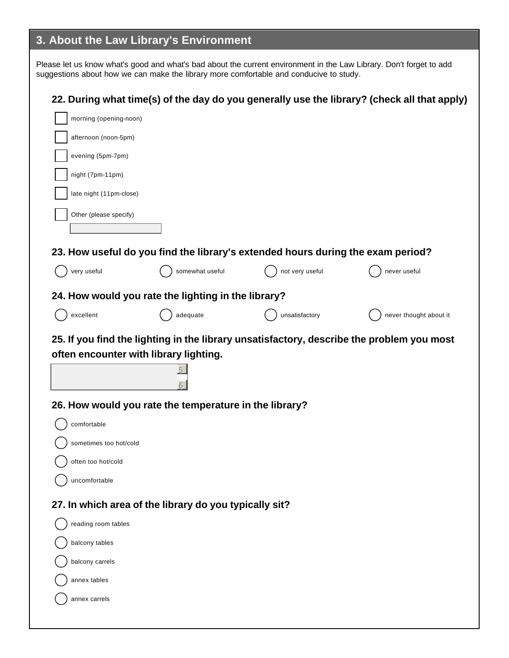## **3. About the Law Library's Environment**

Please let us know what's good and what's bad about the current environment in the Law Library. Don't forget to add suggestions about how we can make the library more comfortable and conducive to study.

| 22. During what time(s) of the day do you generally use the library? (check all that apply) |  |
|---------------------------------------------------------------------------------------------|--|
|---------------------------------------------------------------------------------------------|--|

| morning (opening-noon)                                |                                                                                           |                                                                                 |                        |
|-------------------------------------------------------|-------------------------------------------------------------------------------------------|---------------------------------------------------------------------------------|------------------------|
| afternoon (noon-5pm)                                  |                                                                                           |                                                                                 |                        |
| evening (5pm-7pm)                                     |                                                                                           |                                                                                 |                        |
| night (7pm-11pm)                                      |                                                                                           |                                                                                 |                        |
| late night (11pm-close)                               |                                                                                           |                                                                                 |                        |
| Other (please specify)                                |                                                                                           |                                                                                 |                        |
|                                                       |                                                                                           | 23. How useful do you find the library's extended hours during the exam period? |                        |
| very useful                                           | somewhat useful                                                                           | not very useful                                                                 | never useful           |
|                                                       | 24. How would you rate the lighting in the library?                                       |                                                                                 |                        |
| excellent                                             | adequate                                                                                  | unsatisfactory                                                                  | never thought about it |
|                                                       | 25. If you find the lighting in the library unsatisfactory, describe the problem you most |                                                                                 |                        |
| often encounter with library lighting.<br>comfortable | 26. How would you rate the temperature in the library?                                    |                                                                                 |                        |
| sometimes too hot/cold                                |                                                                                           |                                                                                 |                        |
| often too hot/cold                                    |                                                                                           |                                                                                 |                        |
| uncomfortable                                         |                                                                                           |                                                                                 |                        |
|                                                       | 27. In which area of the library do you typically sit?                                    |                                                                                 |                        |
| reading room tables                                   |                                                                                           |                                                                                 |                        |
| balcony tables                                        |                                                                                           |                                                                                 |                        |
| balcony carrels                                       |                                                                                           |                                                                                 |                        |
| annex tables                                          |                                                                                           |                                                                                 |                        |
| annex carrels                                         |                                                                                           |                                                                                 |                        |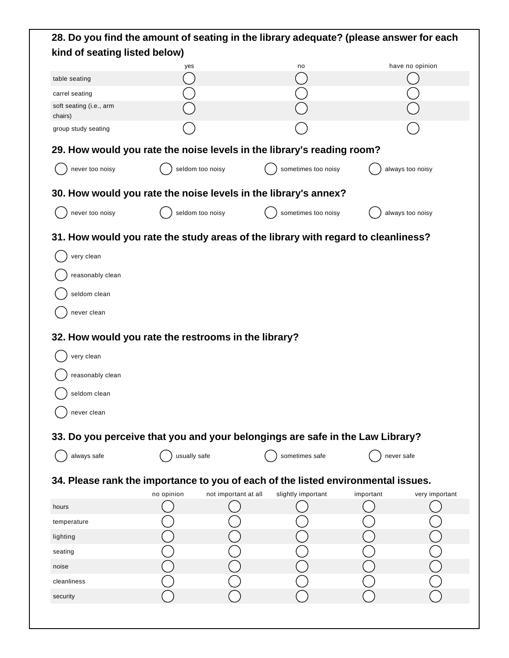| 28. Do you find the amount of seating in the library adequate? (please answer for each |                  |                      |                     |            |                  |  |
|----------------------------------------------------------------------------------------|------------------|----------------------|---------------------|------------|------------------|--|
| kind of seating listed below)                                                          |                  |                      |                     |            |                  |  |
|                                                                                        | yes              |                      | no                  |            | have no opinion  |  |
| table seating                                                                          |                  |                      |                     |            |                  |  |
| carrel seating                                                                         |                  |                      |                     |            |                  |  |
| soft seating (i.e., arm<br>chairs)                                                     |                  |                      |                     |            |                  |  |
| group study seating                                                                    |                  |                      |                     |            |                  |  |
| 29. How would you rate the noise levels in the library's reading room?                 |                  |                      |                     |            |                  |  |
| never too noisy                                                                        | seldom too noisy |                      | sometimes too noisy |            | always too noisy |  |
| 30. How would you rate the noise levels in the library's annex?                        |                  |                      |                     |            |                  |  |
| never too noisy                                                                        | seldom too noisy |                      | sometimes too noisy |            | always too noisy |  |
| 31. How would you rate the study areas of the library with regard to cleanliness?      |                  |                      |                     |            |                  |  |
| very clean                                                                             |                  |                      |                     |            |                  |  |
| reasonably clean                                                                       |                  |                      |                     |            |                  |  |
| seldom clean                                                                           |                  |                      |                     |            |                  |  |
| never clean                                                                            |                  |                      |                     |            |                  |  |
| 32. How would you rate the restrooms in the library?                                   |                  |                      |                     |            |                  |  |
| very clean                                                                             |                  |                      |                     |            |                  |  |
| reasonably clean                                                                       |                  |                      |                     |            |                  |  |
| seldom clean                                                                           |                  |                      |                     |            |                  |  |
| never clean                                                                            |                  |                      |                     |            |                  |  |
| 33. Do you perceive that you and your belongings are safe in the Law Library?          |                  |                      |                     |            |                  |  |
| always safe                                                                            | usually safe     |                      | sometimes safe      | never safe |                  |  |
| 34. Please rank the importance to you of each of the listed environmental issues.      |                  |                      |                     |            |                  |  |
|                                                                                        | no opinion       | not important at all | slightly important  | important  | very important   |  |
| hours                                                                                  |                  |                      |                     |            |                  |  |
| temperature                                                                            |                  |                      |                     |            |                  |  |
| lighting                                                                               |                  |                      |                     |            |                  |  |
| seating                                                                                |                  |                      |                     |            |                  |  |
| noise                                                                                  |                  |                      |                     |            |                  |  |
| cleanliness                                                                            |                  |                      |                     |            |                  |  |
| security                                                                               |                  |                      |                     |            |                  |  |
|                                                                                        |                  |                      |                     |            |                  |  |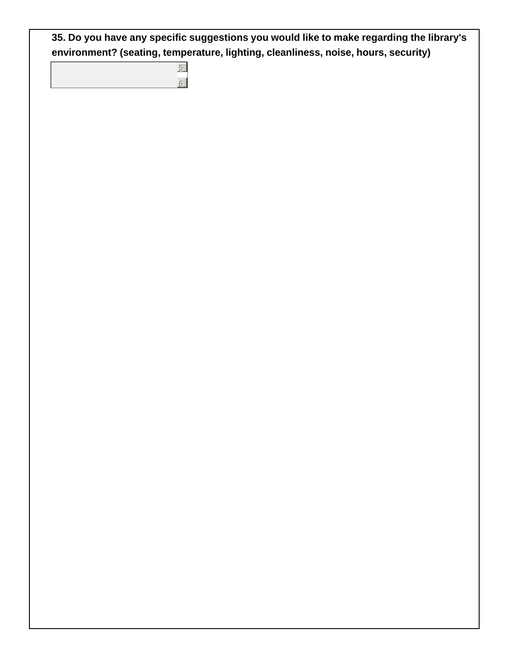**35. Do you have any specific suggestions you would like to make regarding the library's environment? (seating, temperature, lighting, cleanliness, noise, hours, security)**

5 6